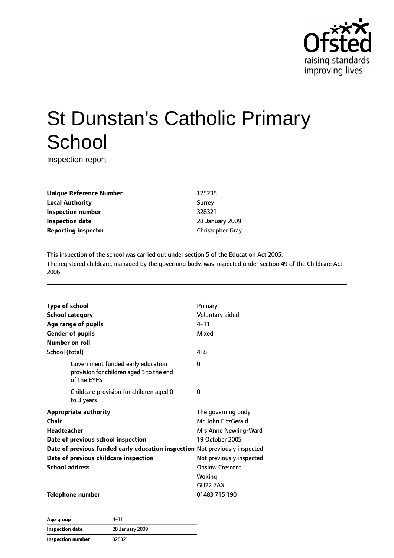

# St Dunstan's Catholic Primary **School**

Inspection report

**Unique Reference Number** 125238 **Local Authority** Surrey **Inspection number** 328321 **Inspection date** 28 January 2009 **Reporting inspector** Christopher Gray

This inspection of the school was carried out under section 5 of the Education Act 2005. The registered childcare, managed by the governing body, was inspected under section 49 of the Childcare Act 2006.

| <b>Type of school</b>                                                       |                                                                                              | Primary                  |
|-----------------------------------------------------------------------------|----------------------------------------------------------------------------------------------|--------------------------|
|                                                                             | <b>School category</b>                                                                       | Voluntary aided          |
|                                                                             | Age range of pupils                                                                          | $4 - 11$                 |
|                                                                             | <b>Gender of pupils</b>                                                                      | Mixed                    |
| Number on roll                                                              |                                                                                              |                          |
| School (total)                                                              |                                                                                              | 418                      |
|                                                                             | Government funded early education<br>provision for children aged 3 to the end<br>of the EYFS | 0                        |
|                                                                             | Childcare provision for children aged 0<br>to 3 years                                        | 0                        |
|                                                                             | <b>Appropriate authority</b>                                                                 | The governing body       |
| Chair                                                                       |                                                                                              | Mr John FitzGerald       |
| <b>Headteacher</b>                                                          |                                                                                              | Mrs Anne Newling-Ward    |
| Date of previous school inspection                                          |                                                                                              | 19 October 2005          |
| Date of previous funded early education inspection Not previously inspected |                                                                                              |                          |
|                                                                             | Date of previous childcare inspection                                                        | Not previously inspected |
| <b>School address</b>                                                       |                                                                                              | <b>Onslow Crescent</b>   |
|                                                                             |                                                                                              | Woking                   |
|                                                                             |                                                                                              | <b>GU22 7AX</b>          |
|                                                                             | <b>Telephone number</b>                                                                      | 01483 715 190            |

**Age group** 4–11 **Inspection date** 28 January 2009 **Inspection number** 328321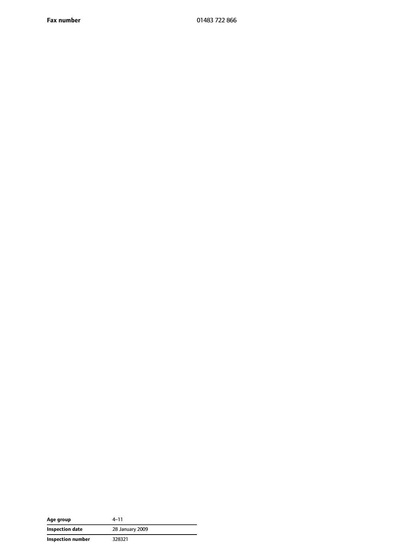**Fax number** 01483 722 866

| Age group         | 4–11            |
|-------------------|-----------------|
| Inspection date   | 28 January 2009 |
| Inspection number | 328321          |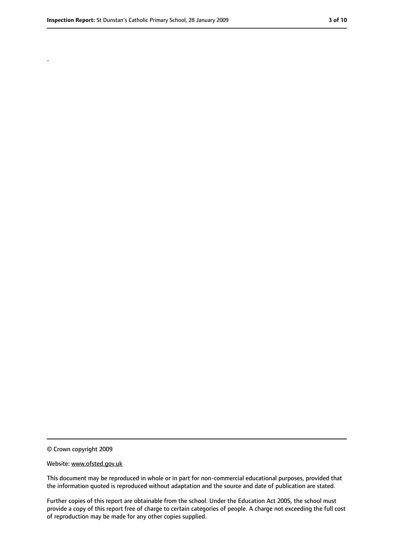.

<sup>©</sup> Crown copyright 2009

Website: www.ofsted.gov.uk

This document may be reproduced in whole or in part for non-commercial educational purposes, provided that the information quoted is reproduced without adaptation and the source and date of publication are stated.

Further copies of this report are obtainable from the school. Under the Education Act 2005, the school must provide a copy of this report free of charge to certain categories of people. A charge not exceeding the full cost of reproduction may be made for any other copies supplied.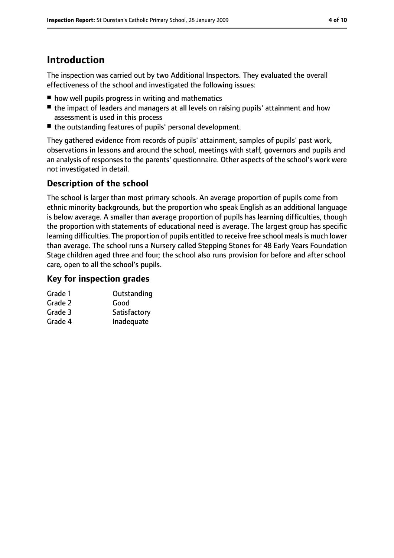# **Introduction**

The inspection was carried out by two Additional Inspectors. They evaluated the overall effectiveness of the school and investigated the following issues:

- how well pupils progress in writing and mathematics
- the impact of leaders and managers at all levels on raising pupils' attainment and how assessment is used in this process
- the outstanding features of pupils' personal development.

They gathered evidence from records of pupils' attainment, samples of pupils' past work, observations in lessons and around the school, meetings with staff, governors and pupils and an analysis of responses to the parents' questionnaire. Other aspects of the school's work were not investigated in detail.

### **Description of the school**

The school is larger than most primary schools. An average proportion of pupils come from ethnic minority backgrounds, but the proportion who speak English as an additional language is below average. A smaller than average proportion of pupils has learning difficulties, though the proportion with statements of educational need is average. The largest group has specific learning difficulties. The proportion of pupils entitled to receive free school meals is much lower than average. The school runs a Nursery called Stepping Stones for 48 Early Years Foundation Stage children aged three and four; the school also runs provision for before and after school care, open to all the school's pupils.

#### **Key for inspection grades**

| Grade 1 | Outstanding  |
|---------|--------------|
| Grade 2 | Good         |
| Grade 3 | Satisfactory |

Grade 4 Inadequate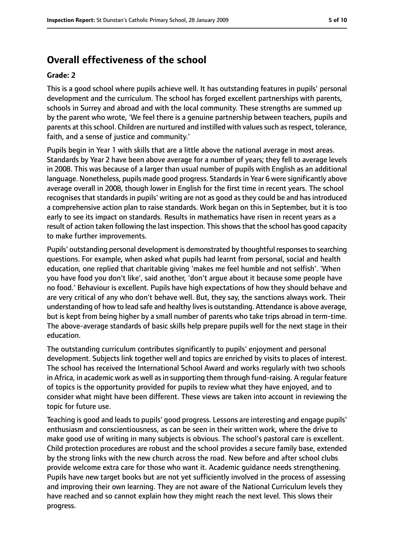## **Overall effectiveness of the school**

#### **Grade: 2**

This is a good school where pupils achieve well. It has outstanding features in pupils' personal development and the curriculum. The school has forged excellent partnerships with parents, schools in Surrey and abroad and with the local community. These strengths are summed up by the parent who wrote, 'We feel there is a genuine partnership between teachers, pupils and parents at this school. Children are nurtured and instilled with values such as respect, tolerance, faith, and a sense of justice and community.'

Pupils begin in Year 1 with skills that are a little above the national average in most areas. Standards by Year 2 have been above average for a number of years; they fell to average levels in 2008. This was because of a larger than usual number of pupils with English as an additional language. Nonetheless, pupils made good progress. Standardsin Year 6 were significantly above average overall in 2008, though lower in English for the first time in recent years. The school recognises that standards in pupils' writing are not as good as they could be and has introduced a comprehensive action plan to raise standards. Work began on this in September, but it is too early to see its impact on standards. Results in mathematics have risen in recent years as a result of action taken following the last inspection. This shows that the school has good capacity to make further improvements.

Pupils' outstanding personal development is demonstrated by thoughtful responses to searching questions. For example, when asked what pupils had learnt from personal, social and health education, one replied that charitable giving 'makes me feel humble and not selfish'. 'When you have food you don't like', said another, 'don't argue about it because some people have no food.' Behaviour is excellent. Pupils have high expectations of how they should behave and are very critical of any who don't behave well. But, they say, the sanctions always work. Their understanding of how to lead safe and healthy lives is outstanding. Attendance is above average, but is kept from being higher by a small number of parents who take trips abroad in term-time. The above-average standards of basic skills help prepare pupils well for the next stage in their education.

The outstanding curriculum contributes significantly to pupils' enjoyment and personal development. Subjects link together well and topics are enriched by visits to places of interest. The school has received the International School Award and works regularly with two schools in Africa, in academic work as well as in supporting them through fund-raising. A regular feature of topics is the opportunity provided for pupils to review what they have enjoyed, and to consider what might have been different. These views are taken into account in reviewing the topic for future use.

Teaching is good and leads to pupils' good progress. Lessons are interesting and engage pupils' enthusiasm and conscientiousness, as can be seen in their written work, where the drive to make good use of writing in many subjects is obvious. The school's pastoral care is excellent. Child protection procedures are robust and the school provides a secure family base, extended by the strong links with the new church across the road. New before and after school clubs provide welcome extra care for those who want it. Academic guidance needs strengthening. Pupils have new target books but are not yet sufficiently involved in the process of assessing and improving their own learning. They are not aware of the National Curriculum levels they have reached and so cannot explain how they might reach the next level. This slows their progress.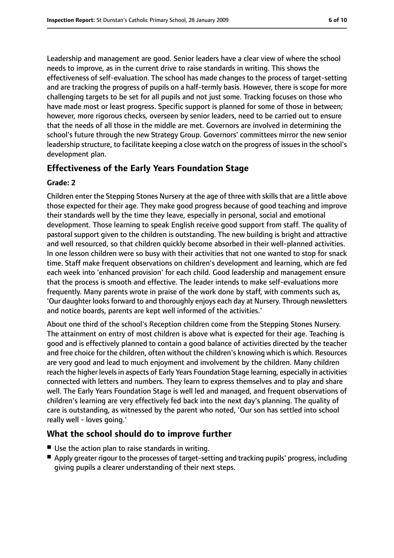Leadership and management are good. Senior leaders have a clear view of where the school needs to improve, as in the current drive to raise standards in writing. This shows the effectiveness of self-evaluation. The school has made changes to the process of target-setting and are tracking the progress of pupils on a half-termly basis. However, there is scope for more challenging targets to be set for all pupils and not just some. Tracking focuses on those who have made most or least progress. Specific support is planned for some of those in between; however, more rigorous checks, overseen by senior leaders, need to be carried out to ensure that the needs of all those in the middle are met. Governors are involved in determining the school's future through the new Strategy Group. Governors' committees mirror the new senior leadership structure, to facilitate keeping a close watch on the progress of issuesin the school's development plan.

#### **Effectiveness of the Early Years Foundation Stage**

#### **Grade: 2**

Children enter the Stepping Stones Nursery at the age of three with skills that are a little above those expected for their age. They make good progress because of good teaching and improve their standards well by the time they leave, especially in personal, social and emotional development. Those learning to speak English receive good support from staff. The quality of pastoral support given to the children is outstanding. The new building is bright and attractive and well resourced, so that children quickly become absorbed in their well-planned activities. In one lesson children were so busy with their activities that not one wanted to stop for snack time. Staff make frequent observations on children's development and learning, which are fed each week into 'enhanced provision' for each child. Good leadership and management ensure that the process is smooth and effective. The leader intends to make self-evaluations more frequently. Many parents wrote in praise of the work done by staff, with comments such as, 'Our daughter looks forward to and thoroughly enjoys each day at Nursery. Through newsletters and notice boards, parents are kept well informed of the activities.'

About one third of the school's Reception children come from the Stepping Stones Nursery. The attainment on entry of most children is above what is expected for their age. Teaching is good and is effectively planned to contain a good balance of activities directed by the teacher and free choice for the children, often without the children's knowing which is which. Resources are very good and lead to much enjoyment and involvement by the children. Many children reach the higher levelsin aspects of Early Years Foundation Stage learning, especially in activities connected with letters and numbers. They learn to express themselves and to play and share well. The Early Years Foundation Stage is well led and managed, and frequent observations of children's learning are very effectively fed back into the next day's planning. The quality of care is outstanding, as witnessed by the parent who noted, 'Our son has settled into school really well - loves going.'

#### **What the school should do to improve further**

- Use the action plan to raise standards in writing.
- Apply greater rigour to the processes of target-setting and tracking pupils' progress, including giving pupils a clearer understanding of their next steps.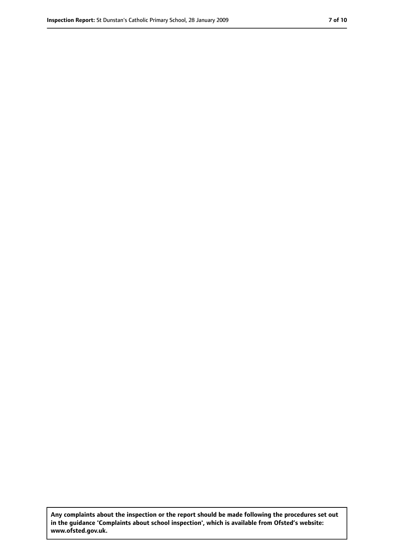**Any complaints about the inspection or the report should be made following the procedures set out in the guidance 'Complaints about school inspection', which is available from Ofsted's website: www.ofsted.gov.uk.**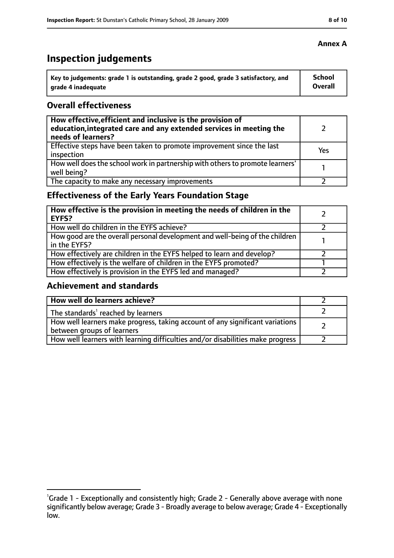# **Inspection judgements**

| Key to judgements: grade 1 is outstanding, grade 2 good, grade 3 satisfactory, and | School  |
|------------------------------------------------------------------------------------|---------|
| arade 4 inadequate                                                                 | Overall |

#### **Overall effectiveness**

| How effective, efficient and inclusive is the provision of<br>education, integrated care and any extended services in meeting the<br>needs of learners? |     |
|---------------------------------------------------------------------------------------------------------------------------------------------------------|-----|
| Effective steps have been taken to promote improvement since the last<br>inspection                                                                     | Yes |
| How well does the school work in partnership with others to promote learners'<br>well being?                                                            |     |
| The capacity to make any necessary improvements                                                                                                         |     |

## **Effectiveness of the Early Years Foundation Stage**

| How effective is the provision in meeting the needs of children in the<br><b>EYFS?</b>       |  |
|----------------------------------------------------------------------------------------------|--|
| How well do children in the EYFS achieve?                                                    |  |
| How good are the overall personal development and well-being of the children<br>in the EYFS? |  |
| How effectively are children in the EYFS helped to learn and develop?                        |  |
| How effectively is the welfare of children in the EYFS promoted?                             |  |
| How effectively is provision in the EYFS led and managed?                                    |  |

#### **Achievement and standards**

| How well do learners achieve?                                                                               |  |
|-------------------------------------------------------------------------------------------------------------|--|
| The standards <sup>1</sup> reached by learners                                                              |  |
| How well learners make progress, taking account of any significant variations<br>between groups of learners |  |
| How well learners with learning difficulties and/or disabilities make progress                              |  |

#### **Annex A**

<sup>&</sup>lt;sup>1</sup>Grade 1 - Exceptionally and consistently high; Grade 2 - Generally above average with none significantly below average; Grade 3 - Broadly average to below average; Grade 4 - Exceptionally low.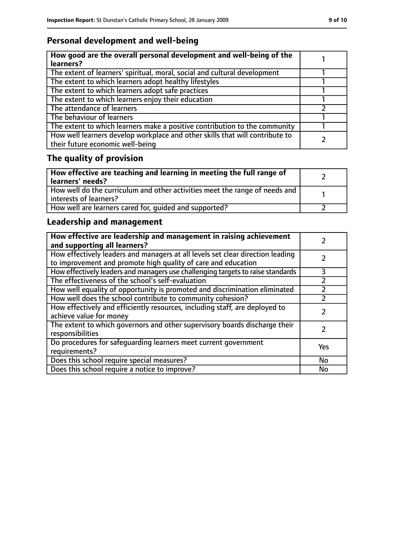## **Personal development and well-being**

| How good are the overall personal development and well-being of the<br>learners?                                 |  |
|------------------------------------------------------------------------------------------------------------------|--|
| The extent of learners' spiritual, moral, social and cultural development                                        |  |
| The extent to which learners adopt healthy lifestyles                                                            |  |
| The extent to which learners adopt safe practices                                                                |  |
| The extent to which learners enjoy their education                                                               |  |
| The attendance of learners                                                                                       |  |
| The behaviour of learners                                                                                        |  |
| The extent to which learners make a positive contribution to the community                                       |  |
| How well learners develop workplace and other skills that will contribute to<br>their future economic well-being |  |

# **The quality of provision**

| How effective are teaching and learning in meeting the full range of<br>learners' needs?              |  |
|-------------------------------------------------------------------------------------------------------|--|
| How well do the curriculum and other activities meet the range of needs and<br>interests of learners? |  |
| How well are learners cared for, quided and supported?                                                |  |

## **Leadership and management**

| How effective are leadership and management in raising achievement<br>and supporting all learners?                                              |           |
|-------------------------------------------------------------------------------------------------------------------------------------------------|-----------|
| How effectively leaders and managers at all levels set clear direction leading<br>to improvement and promote high quality of care and education |           |
| How effectively leaders and managers use challenging targets to raise standards                                                                 | 3         |
| The effectiveness of the school's self-evaluation                                                                                               |           |
| How well equality of opportunity is promoted and discrimination eliminated                                                                      |           |
| How well does the school contribute to community cohesion?                                                                                      |           |
| How effectively and efficiently resources, including staff, are deployed to<br>achieve value for money                                          |           |
| The extent to which governors and other supervisory boards discharge their<br>responsibilities                                                  |           |
| Do procedures for safequarding learners meet current government<br>requirements?                                                                | Yes       |
| Does this school require special measures?                                                                                                      | <b>No</b> |
| Does this school require a notice to improve?                                                                                                   | No        |